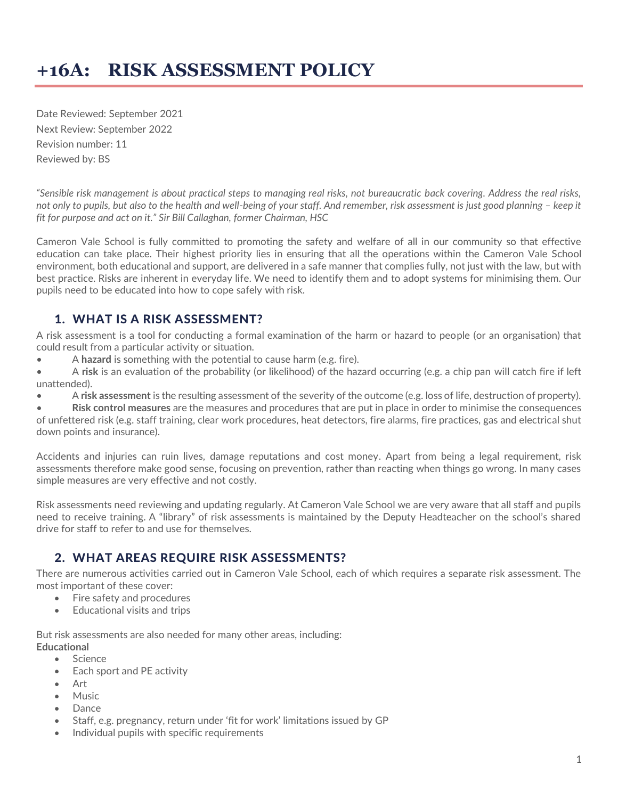Date Reviewed: September 2021 Next Review: September 2022 Revision number: 11 Reviewed by: BS

*"Sensible risk management is about practical steps to managing real risks, not bureaucratic back covering. Address the real risks, not only to pupils, but also to the health and well-being of your staff. And remember, risk assessment is just good planning - keep it fit for purpose and act on it." Sir Bill Callaghan, former Chairman, HSC*

Cameron Vale School is fully committed to promoting the safety and welfare of all in our community so that effective education can take place. Their highest priority lies in ensuring that all the operations within the Cameron Vale School environment, both educational and support, are delivered in a safe manner that complies fully, not just with the law, but with best practice. Risks are inherent in everyday life. We need to identify them and to adopt systems for minimising them. Our pupils need to be educated into how to cope safely with risk.

## 1. WHAT IS A RISK ASSESSMENT?

A risk assessment is a tool for conducting a formal examination of the harm or hazard to people (or an organisation) that could result from a particular activity or situation.

- A **hazard** is something with the potential to cause harm (e.g. fire).
- A **risk** is an evaluation of the probability (or likelihood) of the hazard occurring (e.g. a chip pan will catch fire if left unattended).
- A **risk assessment** is the resulting assessment of the severity of the outcome (e.g. loss of life, destruction of property).

• **Risk control measures** are the measures and procedures that are put in place in order to minimise the consequences of unfettered risk (e.g. staff training, clear work procedures, heat detectors, fire alarms, fire practices, gas and electrical shut down points and insurance).

Accidents and injuries can ruin lives, damage reputations and cost money. Apart from being a legal requirement, risk assessments therefore make good sense, focusing on prevention, rather than reacting when things go wrong. In many cases simple measures are very effective and not costly.

Risk assessments need reviewing and updating regularly. At Cameron Vale School we are very aware that all staff and pupils need to receive training. A "library" of risk assessments is maintained by the Deputy Headteacher on the school's shared drive for staff to refer to and use for themselves.

#### 2. WHAT AREAS REQUIRE RISK ASSESSMENTS?

There are numerous activities carried out in Cameron Vale School, each of which requires a separate risk assessment. The most important of these cover:

- Fire safety and procedures
- Educational visits and trips

But risk assessments are also needed for many other areas, including: **Educational**

- Science
- Each sport and PE activity
- Art
- Music
- Dance
- Staff, e.g. pregnancy, return under 'fit for work' limitations issued by GP
- Individual pupils with specific requirements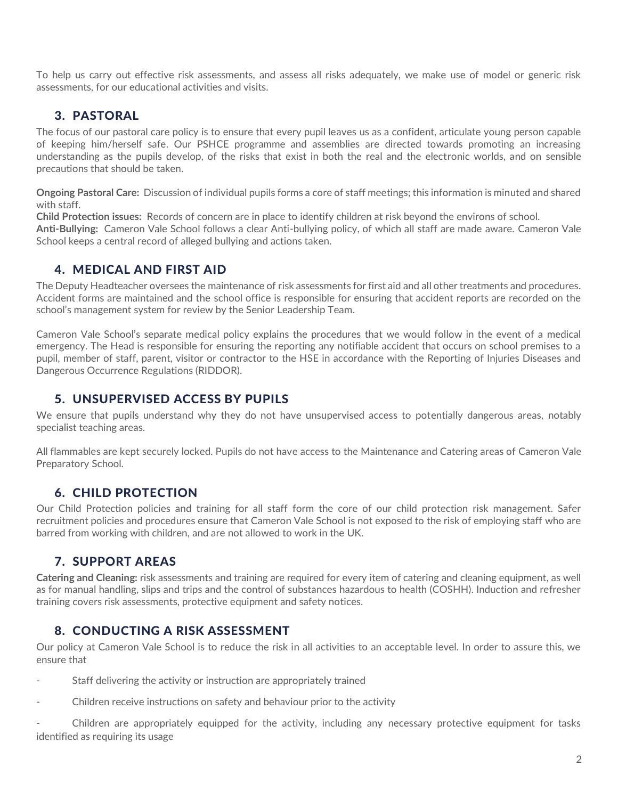To help us carry out effective risk assessments, and assess all risks adequately, we make use of model or generic risk assessments, for our educational activities and visits.

## 3. PASTORAL

The focus of our pastoral care policy is to ensure that every pupil leaves us as a confident, articulate young person capable of keeping him/herself safe. Our PSHCE programme and assemblies are directed towards promoting an increasing understanding as the pupils develop, of the risks that exist in both the real and the electronic worlds, and on sensible precautions that should be taken.

**Ongoing Pastoral Care:** Discussion of individual pupils forms a core of staff meetings; this information is minuted and shared with staff.

**Child Protection issues:** Records of concern are in place to identify children at risk beyond the environs of school.

**Anti-Bullying:** Cameron Vale School follows a clear Anti-bullying policy, of which all staff are made aware. Cameron Vale School keeps a central record of alleged bullying and actions taken.

## 4. MEDICAL AND FIRST AID

The Deputy Headteacher oversees the maintenance of risk assessments for first aid and all other treatments and procedures. Accident forms are maintained and the school office is responsible for ensuring that accident reports are recorded on the school's management system for review by the Senior Leadership Team.

Cameron Vale School's separate medical policy explains the procedures that we would follow in the event of a medical emergency. The Head is responsible for ensuring the reporting any notifiable accident that occurs on school premises to a pupil, member of staff, parent, visitor or contractor to the HSE in accordance with the Reporting of Injuries Diseases and Dangerous Occurrence Regulations (RIDDOR).

## 5. UNSUPERVISED ACCESS BY PUPILS

We ensure that pupils understand why they do not have unsupervised access to potentially dangerous areas, notably specialist teaching areas.

All flammables are kept securely locked. Pupils do not have access to the Maintenance and Catering areas of Cameron Vale Preparatory School.

# 6. CHILD PROTECTION

Our Child Protection policies and training for all staff form the core of our child protection risk management. Safer recruitment policies and procedures ensure that Cameron Vale School is not exposed to the risk of employing staff who are barred from working with children, and are not allowed to work in the UK.

## 7. SUPPORT AREAS

**Catering and Cleaning:** risk assessments and training are required for every item of catering and cleaning equipment, as well as for manual handling, slips and trips and the control of substances hazardous to health (COSHH). Induction and refresher training covers risk assessments, protective equipment and safety notices.

## 8. CONDUCTING A RISK ASSESSMENT

Our policy at Cameron Vale School is to reduce the risk in all activities to an acceptable level. In order to assure this, we ensure that

- Staff delivering the activity or instruction are appropriately trained
- Children receive instructions on safety and behaviour prior to the activity

- Children are appropriately equipped for the activity, including any necessary protective equipment for tasks identified as requiring its usage